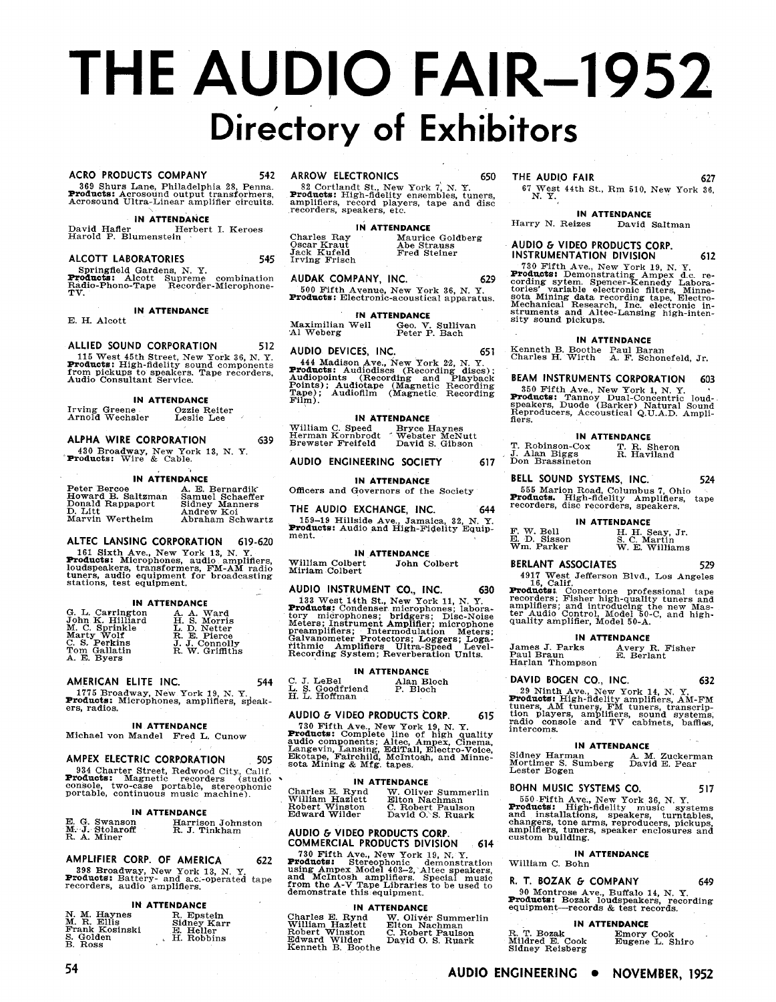# **THE AUDIO FAIR-1952** Directory of Exhibitors

### **ACRO PRODUCTS COMPANY**

369 Shurs Lane, Philadelphia 28, Penna.<br>**Products:** Acrosound output transformers, Acrosound Ultra-Linear amplifier circuits.

542

545

512

639

544

505

### IN ATTENDANCE

David Hafler Herbert I. Keroes<br>Harold P. Blumenstein

### ALCOTT LABORATORIES

Springfield Gardens, N. Y.<br>Products: Alcott Supreme combination<br>Radio-Phono-Tape Recorder-Microphone-

IN ATTENDANCE

E. H. Alcott

### ALLIED SOUND CORPORATION

115 West 45th Street, New York 36, N.Y.<br> **Products:** High-fidelity sound components<br>
from pickups to speakers. Tape recorders,<br>
Audio Consultant Service.

### **IN ATTENDANCE**

Irving Greene<br>Arnold Wechsler Ozzie Reiter<br>Leslie Lee

### ALPHA WIRE CORPORATION

430 Broadway, New York 13, N.Y.<br>Products: Wire & Cable.

### **IN ATTENDANCE**

| Peter Bercoe       | A. E. Bernardik  |
|--------------------|------------------|
| Howard B. Saltzman | Samuel Schaeffer |
| Donald Rappaport   | Sidney Manners   |
| D. Litt            | Andrew Koi       |
| Marvin Wertheim    | Abraham Schwartz |
|                    |                  |

### ALTEC LANSING CORPORATION 619-620

161 Sixth Ave., New York 13, N.Y.<br> **Products:** Microphones, audio amplifiers,<br>
lumers, audio equipment, FM-AM radio<br>
lumers, audio equipment for broadcasting<br>
stations, test equipment.

### **IN ATTENDANCE**

| G. L. Carrington | A. A. Ward      |  |
|------------------|-----------------|--|
| John K. Hilliard | H. S. Morris    |  |
| M. C. Sprinkle   | L. D. Netter    |  |
| Marty Wolf       | R. E. Pierce    |  |
| C. S. Perkins    | J. J. Connolly  |  |
| Tom Gallatin     | R. W. Griffiths |  |
| A. E. Byers      |                 |  |

### AMERICAN ELITE INC.

1775 Broadway, New York 19, N. Y.<br>Products: Microphones, amplifiers, speakers, radios.

### **IN ATTENDANCE**

Michael von Mandel Fred L. Cunow

### AMPEX ELECTRIC CORPORATION

934 Charter Street, Redwood City, Calif.<br> **Products:** Magnetic recorders (studio console, two-case portable, stereophonic portable, continuous music machine).

### **IN ATTENDANCE**

| E. G. Swanson   | Harrison Johnston |
|-----------------|-------------------|
| M. J. Stolaroff | R. J. Tinkham     |
| R. A. Miner     |                   |

### AMPLIFIER CORP. OF AMERICA 622

398 Broadway, New York 13, N. Y.<br> **Products:** Battery- and a.c.-operated tape<br>
recorders, audio amplifiers.

### **IN ATTENDANCE**

| N. M. Haynes   | R. Epstein  |
|----------------|-------------|
| M. R. Ellis    | Sidney Karr |
| Frank Kosinski | E. Heller   |
| S. Golden      | H. Robbins  |
| R Rose         |             |

### ARROW ELECTRONICS

SE Cortlandt St., New York 7, N. Y.<br> **Products:** High-fidelity ensembles, tuners, amplifiers, record players, tape and disc<br>
recorders, speakers, etc.

### **IN ATTENDANCE** Charles Ray<br>Oscar Kraut<br>Jack Kufeld Maurice Goldberg<br>Abe Strauss<br>Fred Steiner Irving Frisch

AUDAK COMPANY, INC. 629

500 Fifth Avenue, New York 36, N. Y.<br>**Products:** Electronic-acoustical apparatus.

### **IN ATTENDANCE**

Maximilian Weil<br>Al Weberg Geo. V. Sullivan<br>Peter P. Bach

### AUDIO DEVICES, INC.

444 Madison Ave., New York 22, N.Y.<br> **Products:** Audiodiscs (Recording discs);<br>
Audiopoints (Recording and Playback<br>
Points); Audiotape (Magnetic Recording<br>
Tape); Audiofilm (Magnetic Recording<br>
Film).

### **IN ATTENDANCE**

William C. Speed Bryce Haynes<br>Herman Kornbrodt Webster McNutt<br>Brewster Freifeld David S. Gibson

### AUDIO ENGINEERING SOCIETY

### **IN ATTENDANCE**

Officers and Governors of the Society

THE AUDIO EXCHANGE, INC. 644 159-19 Hillside Ave., Jamaica, 32, N. Y.<br>Products: Audio and High-Fidelity Equipment.

**IN ATTENDANCE** 

William Colbert<br>Miriam Colbert John Colbert

### AUDIO INSTRUMENT CO., INC. 630

NOW WISSUES 13 West 14th St., New York 11, N.Y.<br>
Products: Condenser microphones; laboratory microphones; laboratory microphones; bridgers; Disc-Noise<br>
Meters; Instrument Amplifier; microphone<br>
preamplifiers; Intermodulati

C. J. LeBel<br>L. S. Goodfriend<br>H. L. Hoffman

### AUDIO & VIDEO PRODUCTS CORP. 615

NODIO THE AVE TROUGHTS CONTRACT TO THE ARR TO THE AVE TROUGHTS and the same Line of high quality audio components; Altec, Ampex, Cinema, Lanspevin, Lansing, EditTall, Electro-Voice, Etherstand Minnesota Mining & Mfg. tapes

### IN ATTENDANCE

| Charles E. Rynd | W. Oliver Summerlin |
|-----------------|---------------------|
| William Hazlett | Elton Nachman       |
| Robert Winston  | C. Robert Paulson   |
| Edward Wilder   | David O.S. Ruark    |
|                 |                     |

### AUDIO & VIDEO PRODUCTS CORP.<br>COMMERCIAL PRODUCTS DIVISION 614

The Marithmeter Community of the New York 19, N.Y.<br>Troducts: Stereophonic demonstration using Ampex Model 403-2, Altec speakers,<br>and McIntosh amplifiers. Special music<br>from the A-V Tape Libraries to be used to<br>demonstrate

### **IN ATTENDANCE**

Charles E. Rynd<br>William Hazlett<br>Robert Winston<br>Edward Wilder<br>Kenneth B. Boothe W. Olivér Summerlin<br>Elton Nachman<br>C. Robert Paulson<br>Dayid O. S. Ruark

### THE AUDIO FAIR

650

651

617

67 West 44th St., Rm 510, New York 36,  $N. Y.$ 

### **IN ATTENDANCE**

627

612

Harry N. Reizes David Saltman

### AUDIO & VIDEO PRODUCTS CORP. **INSTRUMENTATION DIVISION**

730 Fifth Ave., New York 19, N.Y.<br>To The Ree, New York 19, N.Y.<br> **Products:** Demonstrating Ampex d.c. recording sytem. Spencer-Kennedy Laboratories' variable electronic filters, Minnesota Minimg data recording tape. Electr

### IN ATTENDANCE

Kenneth B. Boothe Paul Baran<br>Charles H. Wirth A. F. Schonefeld, Jr.

BEAM INSTRUMENTS CORPORATION 603

350 Fifth Ave., New York 1, N. Y.<br>Toducts: Tannoy Dual-Concentric loud-<br>speakers, Duode (Barker) Natural Sound Reproducers, Accoustical Q.U.A.D. Ampli-<br>Heproducers, Accoustical Q.U.A.D. Ampli-

**IN ATTENDANCE** T. Robinson-Cox<br>J. Alan Biggs<br>Don Brassineton T. R. Sheron<br>R. Haviland

BELL SOUND SYSTEMS, INC. 524 555 Marion Road, Columbus 7, Ohio<br>Products. High-fidelity Amplifiers, recorders, disc recorders, speakers. tape

### IN ATTENDANCE

F. W. Bell<br>E. D. Sisson<br>Wm. Parker H. H. Seay, Jr.<br>S. C. Martin<br>W. E. Williams

### BERLANT ASSOCIATES

529

217 West Jefferson Blvd., Los Angeles<br>16, Calif.<br>Technology - Islam Technology<br>Products: Concertone professional tape<br>recorders; Fisher high-quality tuners and<br>ter Audio Control, Model 50-C, and high-<br>quality amplifier, Mo

### **IN ATTENDANCE**

James J. Parks<br>Paul Braun<br>Harlan Thompson Avery R. Fisher<br>E. Berlant

## DAVID BOGEN CO., INC.

632 29 Ninth Ave, New York 14, N.Y.<br> **Products:** High-fidelity amplifiers, AM-FM<br>
tuners, AM tuners, FM tuners, transcrip-<br>
tion players, amplifiers, sound systems,<br>
radio console and TV cabinets, baffles,<br>
intercoms.

### **IN ATTENDANCE**

Sidney Harman<br>
Mortimer S. Sumberg<br>
David E. Pear<br>
Lester Bogen<br>
Lester Bogen

### BOHN MUSIC SYSTEMS CO. 517

550 Fifth Ave., New York 36, N. Y.<br> **Products:** High-fidelity music systems<br>
and installations, speakers, turntables,<br>
changers, tone arms, reproducers, pickups,<br>
amplifiers, tuners, speaker enclosures and<br>
custom building

### **IN ATTENDANCE**

William C. Bohn

### R. T. BOZAK & COMPANY 649

90 Montrose Ave., Buffalo 14, N. Y.<br>Products: Bozak loudspeakers, recording<br>equipment—records & test records.

### IN ATTENDANCE

| T. Bozak<br>ildred E. Cook<br>dney Reisberg | Emory Cook<br>Eugene L. Shiro |  |
|---------------------------------------------|-------------------------------|--|
|                                             |                               |  |

 $_{\rm M}^{\rm R}$ ਕ

**IN ATTENDANCE** Alan Bloch<br>P. Bloch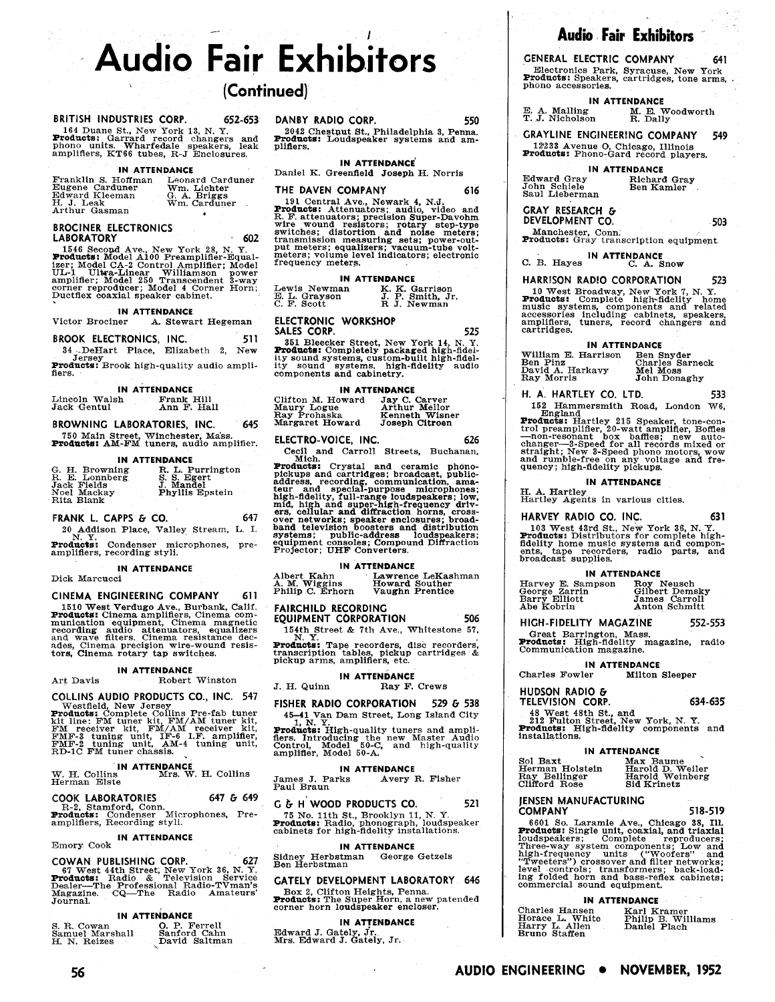# **Audio Fair Exhibitors**

# **(Continued)**

### BRITISH INDUSTRIES CORP. 652-653 DANBY RADIO CORP. 550

164 Duane St., New York 13, N. Y.<br>**Products**: Garrard record changers and<br>phono units. Wharfedale speakers, leak<br>amplifiers, KT66 tubes, R-J Enclosures.

### **IN ATTENDANCE**

| Franklin S. Hoffman | Leonard Carduner |
|---------------------|------------------|
| Eugene Carduner     | Wm. Lichter      |
| Edward Kleeman      | G. A. Briggs     |
| H. J. Leak          | Wm. Carduner     |
| Arthur Gasman       |                  |

### **BROCINER ELECTRONICS LABORATORY 602**

1546 Second Ave., New York 28, N. Y.<br>**Products:** Model A100 Preamplifier-Equal-<br>izer; Model CA-2 Control Amplifier: Model<br>UL-1 Ultra-Linear Williamson power<br>amplifier; Model 250 Transcendent 3-way<br>corner reproducer; Model

# **IN ATTENDANCE**<br>Victor Brociner A. Stewa

A. Stewart Hegeman

**BROOK ELECTRONICS, INC.** 511

34 DeHart Place, Elizabeth 2, New Jersey<br>**Products:** Brook high-quality audio ampli-<br>fiers.

**IN ATTENDANCE**<br> **Bh Exank Hill Ann F. Hall** Lincoln Walsh Frank Hill Jack Gentul Ann F, Hall

**BROWNING LABORATORIES, INC. 645** 

750 Main Street, Winchester, Mass.<br>**Products:** AM-FM tuners, audio amplifier.

### **IN ATTENDANCE**

| G. H. Browning | R. L. Purrington       |
|----------------|------------------------|
| R. E. Lonnberg | S. S. Egert            |
| Jack Fields    | J. Mandel              |
| Noel Mackay    | <b>Phyllis Epstein</b> |
| Rita Blank     |                        |

**FRANK L. CAPPS & CO.** 647<br>20 Addison Place, Valley Stream, L. I.<br>N. Y.

**Products:** Condenser microphones, pre-<br>
amplifiers, recording styli.

### **IN ATTENDANCE**

Dick Marcucci

### **CINEMA ENGINEERING COMPANY 611**

1510 West Verdugo Ave., Burbank, Calif.<br>**Products:** Cinema amplifiers, Cinema com-<br>munication equipment, Cinema magnetic<br>recording audio attenuators, equalizers<br>and wave filters. Cinema resistance dec-<br>tors, Cinema precisi

### **IN ATTENDANCE**  Art Davis Robert Winston

COLLINS AUDIO PRODUCTS CO., INC. 547<br>Westfield, New Jersey<br>Products: Complete Collins Pre-fab tuner<br>Richt Line: FM tuner kit, FM/AM tuner kit,<br>FM receiver kit, FM/AM receiver kit,<br>FMF-3 tuning unit, IF-6 I.F. amplifier,<br>RD

**IN ATTENDANCE**  W. H. Collins Mrs. W. H. Collins W. H. Collins

| <b>COOK LABORATORIES</b> |                                              | 647 & 649 | G & H WOOD PRODUCTS CO.             |
|--------------------------|----------------------------------------------|-----------|-------------------------------------|
| R-2, Stamford, Conn.     |                                              |           |                                     |
|                          | <b>Products:</b> Condenser Microphones, Pre- |           | 75 No. 11th St., Brooklyn 11, N. Y. |

**IN ATTENDANCE** 

COWAN PUBLISHING CORP. 627<br> **F** West 44th Street; New York 36, N. Y.<br> **Products:** Radio & Television Service<br>
Dealer-The Professional Radio-Tvman's<br>
Magazine. CQ-The Radio Amateurs' Journal.

### **IN ATTENDANCE**

|                 | ----------------- |
|-----------------|-------------------|
| S. R. Cowan     | O. P. Ferrell     |
| Samuel Marshall | Sanford Cahn      |
| H. N. Reizes    | David Saltman     |

DANBY RADIO CORP. 550<br>2042 Chestput St., Philadelphia 3, Penna.<br>**Products:** Loudspeaker systems and amplifiers.

**IN ATTENDANCE'** 

Daniel K. Greenfield Joseph H. Norris

### **THE DAVEN COMPANY 616**

191 Central Ave., Newark 4, N.J.<br>**Products:** Attenuators; audio, video and<br>**R.F.** attenuators; precision Super-Davohm<br>wire wound resistors; rotary step-type<br>witches; distortion and noise meters;<br>transmission measuring sets

### **IN ATTENDANCE**

| Lewis Newman  | K. K. Garrison   |
|---------------|------------------|
| E. L. Grayson | J. P. Smith, Jr. |
| C. F. Scott   | R J. Newman      |

**ELECTRONIC WORKSHOP SALES CORP. 525** 

351 Bleecker Street, New York 14, N. Y.<br>**Products:** Completely packaged high-fidel-<br>ity sound systems, custom-built high-fidelity<br>ity sound systems, high-fidelity audio components and cabinetry.

### **IN ATTENDANCE**

| Clifton M. Howard | Jay C. Carver  |
|-------------------|----------------|
| Maury Logue       | Arthur Mellor  |
| Ray Prohaska      | Kenneth Wisner |
| Margaret Howard   | Joseph Citroen |

### ELECTRO-VOICE, INC. 626

Cecil and Carroll Streets. Buchanan. Mich.

**Products:** Crystal and ceramic phono-<br>pickups and cartridges; broadcast, public-<br>address, recording, communication, amateur and special-purpose microphones;<br>high-fidelity, full-range loudspeakers; low,<br>mid, high and super

**IN ATTENDANCE**<br> **IN ATTENDANCE**<br> **A. M. Wiggins Howard**<br> **Philip C. Erhorn Vaughn** Albert Kahn Lawrence LeKashman A. M. Wiggins Howard Souther Philip C. Erhorn Vaughn Prentice

### **FAIRCHILD RECORDING**

**EQUIPMENT CORPORATION** 506 154th Street & 7th Ave., Whitestone 57,

**Products:** Tape recorders, disc recorders, transcription tables, pickup cartridges & pickup arms, amplifiers, etc.

### **IN ATTENDANCE**

J. H. Quinn Ray F. Crews

**FISHER RADIO CORPORATION 529 & 538**<br>45–41 Van Dam Street, Long Island City<br>1, N. Y...

45-41 Van Dam Street, Long Island City<br>
1, N. Y.<br> **Producis:** High-quality tuners and ampli-<br>fiers. Introducing the new Master Audio Control, Model 50-C, and high-quality amplifier, Model 50-A.

**IN ATTENDANCE**  James J. Parks Avery R. Fisher Paul Braun

### R-2, Stamford Conn. **647** G **649 G** *b* **H' WOOD PRODUCTS CO. 521**

amplifiers, Recording styli. **Products:** Eadio, phonograph, loudspeaker cabinets for high-fidelity installations.

Emory Cook **IN ATTENDANCE**<br> **COULAL BUBLICHING COPP**<br> **COULAL BUBLICHING COPP** Sidney Herbstman George Getzels Ben Herbstman

### **GATELY DEVELOPMENT LABORATORY 646**

Box 2, Clifton Heights, Penna. Products: The Super Horn, a new patended corner horn loudspeaker encloser.

**56** AUDIO ENGINEERING • NOVEMBER, 1952

**IN ATTENDANCE** 

Edward J. Gately, Jr. Mrs. Edward J. Gately, Jr,

# **Audio Fair Exhibitors**

**GENERAL ELECTRIC COMPANY 641** Electronics Park, Syracuse, New Pork Products: Speakers, cartridges, tone arms, phono accessories.

**IN ATTENDANCE**<br>**E. A. Malling M. E. V.**<br>**T. J. Nicholson R. Dall** M. E. Woodworth<br>R. Dally

**GRAYLINE ENGINEERING COMPANY 549** 

12933 Avenue **0,** Chicago, Illinois Products: Phono-Gard record players.

# **IN ATTENDANCE**<br> **Richard Gray**<br> **Ben Kamler**

Edward Gray Richard Gray John Schiele Ben Kamler Saul Lieberman

**GRAY RESEARCH** & **DEVELOPMENT CO. 503** 

Manchester, Conn.<br>**Products:** Gray transcription equipment.

C. B. Hayes **IN ATTENDANCE**<br>
C. A. Snow

### **HARRISON RADlO CORPORATION 523**

10 West Broadway, New York 7, N. Y. Products: Complete high-fidelity home music systems, components and related accessories including cabinets, speakers, cartridges.

### **IN ATTENDANCE**

| William E. Harrison | Ben Snyder      |
|---------------------|-----------------|
| Ben Pinz            | Charles Sarneck |
| David A. Harkavy    | Mel Moss        |
| Ray Morris          | John Donaghy    |

**ti. A. HARTLEY CO. LTD. 533**  152 Hammersmith Road, London W6,

England Products: Hartley 215 Speaker, tone-con-<br>trol preamplifier, 20-watt amplifier, Boffles<br>-- non-resonant box baffles; new auto-<br>changer-3-Speed for all records mixed or straight; New 3-Speed phono motors, wow and rumble-free on any voltage and fre-quency; high-fidelity pickups.

### **IN ATTENDANCE**

H. A. Hartley Hartley Agents in various cities.

**HARVEY RADIO CO. INC.** 631

103 West 43rd St., New York 36, N. Y.<br>**Products:** Distributors for complete high-<br>fidelity home music systems and compon-<br>ents, tape recorders, radio parts, and<br>broadcast supplies.

### **IN ATTENDANCE**

| Harvey E. Sampson | Roy Neusch     |
|-------------------|----------------|
| George Zarrin     | Gilbert Demsky |
| Barry Elliott     | James Carroll  |
| Abe Kobrin        | Anton Schmitt  |

**HIGH-FIDELITY MAGAZINE 552-553** 

Great Barrington, Mass.<br>**Products:** High-fidelity magazine, radio<br>Communication magazine.

**TELEVISION CORP. 634-635**  48 West 48th St., and<br>212 Fulton Street, New York, N. Y.<br>Products: High-fidelity components and<br>installations.

**COMPANY 518-519**  6601 So. Laramie Ave., Chicago 38, Ill. Products: Single unit. coaxial. and triaxial

Three-way system components; Low and<br>high-frequency units ("Woofers" and<br>"Tweeters") crossover and filter networks;<br>"Tweeters") crossover and filter networks;<br>level controls; transformers; back-load-<br>commercial sound equip

**IN ATTENDANCE**  Charles Hansen Karl Kramer

Nax Baume<br>Harold D. Weiler<br>Harold Weinberg

Karl Kramer<br>Philip B. Williams<br>Daniel Plach

**IN ATTENDANCE**<br>er Milton Sleeper Charles Fowler

**IN ATTENDANCE**<br> **ISON BAXT MAX BE**<br> **INSPECTED HEAT HATOLE**<br> **RAY Bellinger** Harold

**JENSEN MANUFACTURING** 

Bruno Staffen

Ray Bellinger Harold Wein<br>Clifford Rose Sid Krinetz

**HUDSON RADlO** &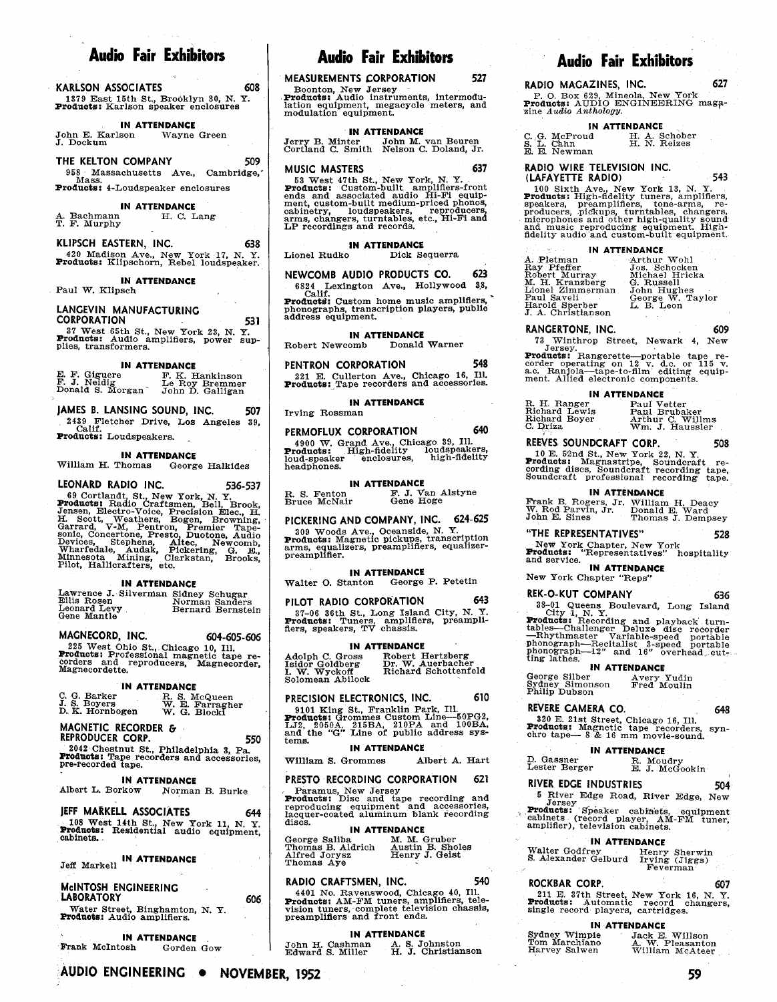|                                             | <b>MEASUREMENTS LON UNATION</b><br>ا ماد ب     | RADIO MAGAZINES, INC.                    | 627 |
|---------------------------------------------|------------------------------------------------|------------------------------------------|-----|
| 608<br>KARLSON ASSOCIATES                   | Boonton, New Jersey                            |                                          |     |
| 1379 East 15th St., Brooklyn 30, N.Y.       | <b>Products:</b> Audio instruments, intermodu- | P. O. Box 629, Mineola, New York         |     |
| <b>Products:</b> Karlson speaker enclosures | lation equipment, megacycle meters, and        | <b>Products:</b> AUDIO ENGINEERING maga- |     |
|                                             | modulation coninmont                           | zine Audio Anthology.                    |     |

**IN ATTENDANCE**<br>Ison Wayne Green

John E. Karlson J. Dockum

**THE KELTON COMPANY 509**  958 Massachusetts Ave., Cambridge, Products: 4-Loudspeaker enclosures

**IN ATTENDANCE**<br>**H. C. Lang** A. Bachmann<br>T. F. Murphy

**KLIPSCH EASTERN, INC. 638**  420 Madison Ave., New York 17, N. Y.<br>**Products:** Klipschorn, Rebel loudspeaker.

Paul W, Klipsch

**CORPORATION 53 1**  EXTREM STRING MORE THE STRINGER OF STRINGER AT WHAT WE STAR THE STRINGER STRINGER AND THE STRINGER OF STRINGER<br>STRINGER AND MORE THE STRINGER STRINGER AND THE STRINGER STRINGER STRINGER STRINGER STRINGER STRINGER STRINGER Products. Audio amplifiers, power sup- plies, transformers.

**IN ATTENDANCE** 

E. F. Giguere **F. K. Hankinson** (221 E. Cullerton Ave., Chicago 16, Ill. (a.c. Ranjola-tape-to-film et P. K. Hankinson (221 E. Cullerton Ave., Chicago 16, Ill. (a.c. Ranjola-tape-to-film et P. J. Neidig Le Roy Bremmer (221

### **JAMES B. LANSING SOUND, INC. 507**

2439 Fletcher Drive, Los Angeles 39, Calif. Products: Loudspeakers. .

**IN ATTENDANCE**<br>William H. Thomas Georg George Halkides

LEONARD RADIO INC.<br> **EONARD RADIO INC.** 536-537<br> **E.** S. Fenton F. J. Van Alstyne<br> **Products:** Radio Craftsmen, Bell, Brook, Bruce McNair Gene Hoge Frank B. Rogers, Jr. William<br>
Jensen, Electro-Voice, Precision Elec., H.<br> tro-Voice. Precision Elec.. H: H. Scott, Weathers, Bogen, Browning, | **PICKERING AND COMPANY,INC. 624-625**<br>Garrard, V-M, Pentron, Premier Tape- | 309 Woods Ave., Oceanside, N. Y.<br>sonic, Concertone, Presto, Duotone, Audio | 309 Woods Ave., Oceanside, N.

| Lawrence J. Silverman Sidney Schugar<br>Ellis Rosen<br>Leonard Levy<br>Gene Mantle | Norman Sanders<br>Bernard Bernstein |  |
|------------------------------------------------------------------------------------|-------------------------------------|--|

225 West Ohio St., Chicago 10, Ill.<br>**Products:** Professional magnetic tape re-<br>corders and reproducers, Magnecorder,<br>Magnecordette.

C. G. Barker R. S. McQueen **PRECISION ELECTRONICS, INC.** 610 <sup>Filing</sup> Dubson<br>J. S. Boyers W. E. Farragher 9101 King St., Franklin Park, Ill. **REVERE CAMERA CO.** 648<br>D. K. Hornbogen W. G. Blocki **Produces:** Grommes Custom L

**REPRODUCER CORP. 5-70**  550 2042 Chestnut St., Philadelphia 3, Pa.<br>**Products:** Tape recorders and accessories,<br>pre-recorded tape.

**IN ATTENDANCE** PRESTO RECORDING CORPORATION 621 Norman B. Burke

IFFF MARKELL ASSOCIATES 644 **lacquer-coated aluminum blank recording** 108 West 14th St., New York 11, N. Y. discs. 108 West 14th St., New York 11, N. Y.<br>Products: Residential audio equipment, cabinets.

**Ieff Markell IN ATTENDANCE Constant Thomas Aye** 

# **MclNTOSH ROCKBAR CORP. 607 ENGINEERING**

**LABORATORY 606**  Water Street, Binghamton, N. Y.<br>**Products:** Audio amplifiers.

**AUDIO ENGINEERING . NOVEMBER, 1952** 

**IN ATTENDANCE**  Frank McIntosh Gorden Gow

# Audio Fair Exhibitors | Audio Fair Exhibitors Audio Fair Exhibitors

<sup>1</sup>**MEASUREMENTS CORPORATION 527** 

Jerry B. Minter John M. van Beuren (C. G. McProud H. A. Schober)<br>Cortland C. Smith Nelson C. Doland, Jr. (B. E. Newman H. N. Reizes

**IMUSIC MASTERS** 637 RADIO WIRE TELEVISION INC. 53 West 47th St., New York, N. Y.<br> **Products:** Custom-built amplifiers-front 100 Sixth Ave., New York 13, N. Y. ends and associated audio Hi-Fi equip-<br> **Products:** High-fidelity tuners, amplifiers,

**IN ATTENDANCE**<br>Lionel Rudko Dick Se Lionel Rudko Dick Sequerra **IN ATTENDANCE** 

LP recordings and records.

**NEWCOMB AUDIO PRODUCTS CO. 623** 

IN ATTENDANCE **INCOME AUDIO FRODUCTS CO.** 025<br>
Sech Lexington Ave., Hollywood 88, 6824 Lexington Ave., Hollywood 88,<br>Calif.<br>Products: Custom home music amplifiers, '<br>phonographs transcription players public phonographs transcription players, public address equhment. **LANGEVIN MANUFACTURING** 

# **IN ATTENDANCE**<br> **Comb** Donald Warner

Robert Newcomb

**PENTRON CORPORATION 548**  221 E. Cullerton Ave., Chicago 16, 111. Products: Tape recorders and accessories.

**IN ATTENDANCE** 

Irving Rossman

**PERMOFLUX CORPORATION 640**  4900 W. Grand Ave., Chicago 39, Ill.<br>**Products: Hi**gh-fidelity loudspeakers,<br>loud-speaker enclosures, high-fidelity<br>headphones.

**IN ATTENDANCE** 

F. J. Van Alstyne<br>Gene Hoge R. S. Fenton<br>Bruce McNair

Products: Magnetic pickups, transcription arms, equalizers, preamplifiers, equallzer-

Pilot, Hallicrafters, etc. **IN ATTENDANCE IN ATTENDANCE IN ATTENDANCE IN ATTENUAL CONSTRUCT** IN ATTENDANCE<br>Walter O. Stanton George P. Petetin New York Chapter "Reps" **IN ATTENDANCE IN ATTENDANCE IN ATTENDANCE** 

### **PILOT RADIO CORPORATION 643**

Exercise of the structure of the structure of the Mantie Stephen Mantie of the Stephen Mantiers, preamplifiers, preamplifiers, preamplifiers, preamplifiers, preamplifiers, preamplifiers, preamplifiers, preamplifiers, pream

### **IN ATTENDANCE**

Adolph C. Gross Robert Hertzberg Isidor Goldberg Dr. W. Auerbacher I. W. Wyckoff Richard Schottenfeld Adolph C. Gross<br>Isidor Goldberg<br>I. W. Wyckoff<br>Solomean Abilock

### **PRECISION ELECTRONICS, INC. 610**

9101 King St., Franklin Park, Ill.<br>**Products:** Grommes Custom Line-60PG2,<br>LJ2, 2050A. 215BA, 210PA and 100BA, and the *"G"* Line of public address sys- tems. **IN ATTENDANCE**  MAGNETIC RECORDER & The L.J. 2050A, 215BA, 210PA and 100BA, **Products:** Magnetic tape recorders, syn-<br>REPRODUCER CORP **and the "G"** Line of public address sys-<br>REPRODUCER CORP **RESOLUTE:** The Magnetic tape-- 8 & 16 mm movi

William S. Grommes Albert A. Hart

Paramus, New Jersey<br>**Products:** Disc and tape recording and discs.

### **IN ATTENDANCE**

George Saliba M. M. Gruber Thomas B. Aldrich Austin B. Sholes Alfred Jorvsz Henry J. Geist

### **RADIO CRAFTSMEN, INC. 540**

4401 No. Ravenswood, Chicago 40, Ill.<br>**Products:** AM-FM tuners, amplifiers, tele-<br>vision tuners, complete television chassis,<br>preamplifiers and front ends.

**IN ATTENDANCE**<br>John H. Cashman A. S. Johnston<br>Edward S. Miller H. J. Christianson

**Products:** Audio instruments, intermodu-<br>
lation equipment, megacycle meters, and<br>
modulation equipment.<br>
modulation equipment.<br>  $\frac{1}{2}$  and  $\frac{1}{2}$  and  $\frac{1}{2}$  modulation equipment.

**IN ATTENDANCE**<br> **IN ATTENDANCE**<br> **I.G. McProud** H. A. Schober<br> **I.G. M. A. Schober**<br> **I.G. A. D. A. D. A. Schober**<br> **I. N. Reizes** C. G. McProud<br>S. L. Cahn<br>E. E. Newman

ends and associated audio Hi-Fi equip-<br>ment, custom-built medium-priced phonos, speakers, preamplifiers, reproducers, preamplifiers, cabinetry, loudspeakers, reproducers, preamplifiers, preamplifiers, cabinetry, loudspeake and music reproducing equipment. High- fidelity audio and custom-built equipment.

| <b>EXECUTE IN ATTENDANCE</b> |                  |
|------------------------------|------------------|
| A. Pletman                   | Arthur Wohl      |
| Ray Pfeffer                  | Jos. Schocken    |
| Robert Murray                | Michael Hricka   |
| M. H. Kranzberg              | G. Russell       |
| Lionel Zimmerman             | John Hughes      |
| Paul Saveli                  | George W. Taylor |
| Harold Sperber               | L. B. Leon       |
| J. A. Christianson           |                  |

### RANGERTONE, INC. 609

73 Winthrop Street, Newark 4, New

Jersey. The state operating on 12 v. d.c. or 115 v.<br>Corder operating on 12 v. d.c. or 115 v.<br>a.c. Ranjola-tape-to-film editing equip-<br>ment. Allied electronic components.

| <b>IN ATTENDANCE</b> |                  |  |
|----------------------|------------------|--|
| R. H. Ranger         | Paul Vetter      |  |
| Richard Lewis        | Paul Brubaker    |  |
| Richard Boyer        | Arthur C. Willms |  |
| C. Driza             | Wm. J. Haussler  |  |

### **REEVES SOUNDCRAFT CORP. 508**

10 E. 52nd St., New York 22, N. Y.<br>**Products:** Magnastripe, Soundcraft re-cording discs, Soundcraft professional recording tape.<br>Soundcraft professional recording tape.

IN ATTENDANCE<br>Frank B. Rogers, Jr. William H. Deacy<br>W. Rod Parvin, Jr. Donald E. Ward<br>John E. Sines Thomas J. Dempsey

### **"THE REPRESENTATIVES" 528**

New York Chapter, New York<br> **Products:** "Representatives" hospitality Products: "~eprese&tatives" hospitality and service. 3ta Mining Clarkstany' Brooks; preamplifier.

**REK-O-KUT COMPANY** 636<br>
City 1, N. Y.<br>
City 1, N. Y.<br> **Products:** Recording and playback turn-<br>
tables-Challenger Deluxe disc recorder

-Rhythmaster Variable-speed portable<br>phonograph-Recitalist 3-speed portable<br>phonograph-12" and 16" overhead cut-<br>ting lathes.

**IN ATTENDANCE**<br> **IN ATTENDANCE**<br> **George Silber More Avery Yudin**<br> **Sydney Simonson** Fred Moulin

IN ATTENDANCE Solombean Applock<br>
Philip Dubson Pred Moulin<br>
Philip Dubson Philip Dubson

330 E. 21st Street, Chicago 16, Ill.<br>**Products:** Magnetic tape recorders, chro tape—8 & 16 mm movie-sound.

**IN ATTENDANCE** 

D. Gassner R. Moudry Lester Berger E. J. McGookin

### **RIVER EDGE INDUSTRIES 504**

5 River Edge Road, River Edge, New Jersey Edge Road, River Edge, New Jersey Record player AI<br>**Products:** Speaker cabinets, equipment cabinets (record player, AM-FM tuner, amplifier), television cabinets.

211 E. 37th Street, New York 16, N. Y.<br>**Products:** Automatic record changers, single record players, cartridges.

59

. - - - - - - - . . . - - Sydney Wimpie Jack E. Willson Tom Marchlano A. W. Pleasanton Harvey Salwen William McAteer

### **IN ATTENDANCE**

**IN ATTENDANCE**<br> **IN ATTENDANCE**<br> **Tom Marchiano**<br> **Harvey Salwen**<br> **Harvey Salwen** 

Walter Godfrey Henry Sherwin S. Alexander Gelburd Irving (Jiggs) Feverman